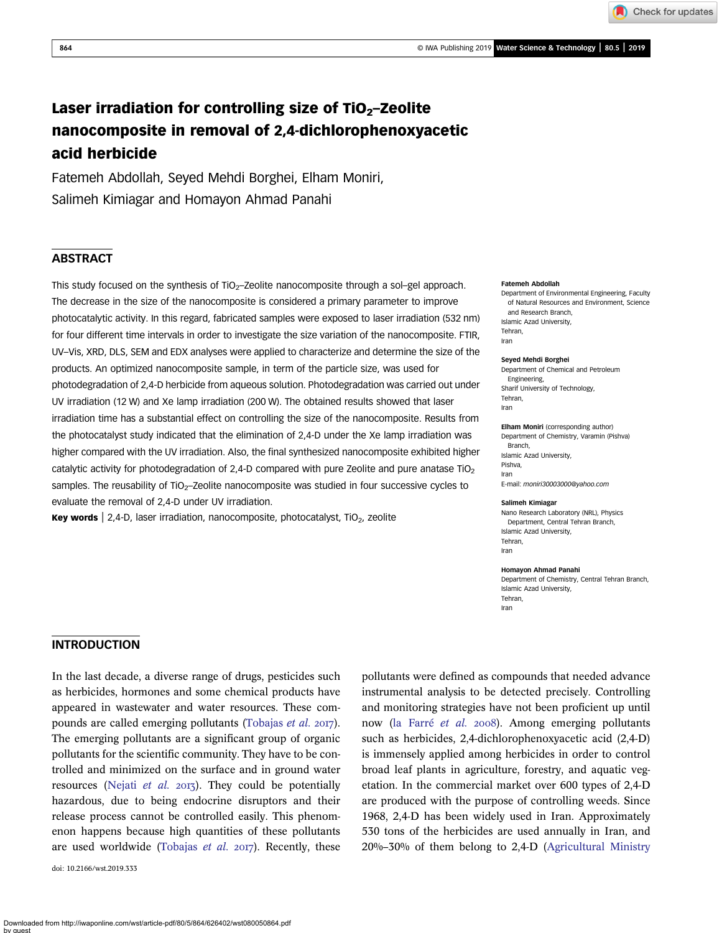# Laser irradiation for controlling size of  $TiO<sub>2</sub>$ –Zeolite nanocomposite in removal of 2,4-dichlorophenoxyacetic acid herbicide

Fatemeh Abdollah, Seyed Mehdi Borghei, Elham Moniri, Salimeh Kimiagar and Homayon Ahmad Panahi

# **ABSTRACT**

This study focused on the synthesis of TiO<sub>2</sub>-Zeolite nanocomposite through a sol-gel approach. The decrease in the size of the nanocomposite is considered a primary parameter to improve photocatalytic activity. In this regard, fabricated samples were exposed to laser irradiation (532 nm) for four different time intervals in order to investigate the size variation of the nanocomposite. FTIR, UV–Vis, XRD, DLS, SEM and EDX analyses were applied to characterize and determine the size of the products. An optimized nanocomposite sample, in term of the particle size, was used for photodegradation of 2,4-D herbicide from aqueous solution. Photodegradation was carried out under UV irradiation (12 W) and Xe lamp irradiation (200 W). The obtained results showed that laser irradiation time has a substantial effect on controlling the size of the nanocomposite. Results from the photocatalyst study indicated that the elimination of 2,4-D under the Xe lamp irradiation was higher compared with the UV irradiation. Also, the final synthesized nanocomposite exhibited higher catalytic activity for photodegradation of 2,4-D compared with pure Zeolite and pure anatase  $TiO<sub>2</sub>$ samples. The reusability of TiO<sub>2</sub>-Zeolite nanocomposite was studied in four successive cycles to evaluate the removal of 2,4-D under UV irradiation.

Key words | 2,4-D, laser irradiation, nanocomposite, photocatalyst,  $TiO<sub>2</sub>$ , zeolite

#### Fatemeh Abdollah

Department of Environmental Engineering, Faculty of Natural Resources and Environment, Science and Research Branch, Islamic Azad University, Tehran, Iran

#### Seyed Mehdi Borghei

Department of Chemical and Petroleum Engineering, Sharif University of Technology, Tehran, Iran

Elham Moniri (corresponding author) Department of Chemistry, Varamin (Pishva)

**Branch** Islamic Azad University, Pishva, Iran E-mail: [moniri30003000@yahoo.com](mailto:moniri30003000@yahoo.com)

#### Salimeh Kimiagar

Nano Research Laboratory (NRL), Physics Department, Central Tehran Branch, Islamic Azad University, Tehran, Iran

#### Homayon Ahmad Panahi

Department of Chemistry, Central Tehran Branch, Islamic Azad University, Tehran, Iran

## INTRODUCTION

In the last decade, a diverse range of drugs, pesticides such as herbicides, hormones and some chemical products have appeared in wastewater and water resources. These com-pounds are called emerging pollutants [\(Tobajas](#page-9-0) et al. 2017). The emerging pollutants are a significant group of organic pollutants for the scientific community. They have to be controlled and minimized on the surface and in ground water resources [\(Nejati](#page-9-0) *et al.* 2013). They could be potentially hazardous, due to being endocrine disruptors and their release process cannot be controlled easily. This phenomenon happens because high quantities of these pollutants are used worldwide ([Tobajas](#page-9-0) et al.  $2017$ ). Recently, these

doi: 10.2166/wst.2019.333

pollutants were defined as compounds that needed advance instrumental analysis to be detected precisely. Controlling and monitoring strategies have not been proficient up until now ([la Farré](#page-9-0) et al. 2008). Among emerging pollutants such as herbicides, 2,4-dichlorophenoxyacetic acid (2,4-D) is immensely applied among herbicides in order to control broad leaf plants in agriculture, forestry, and aquatic vegetation. In the commercial market over 600 types of 2,4-D are produced with the purpose of controlling weeds. Since 1968, 2,4-D has been widely used in Iran. Approximately 530 tons of the herbicides are used annually in Iran, and 20%–30% of them belong to 2,4-D ([Agricultural Ministry](#page-9-0)

Check for updates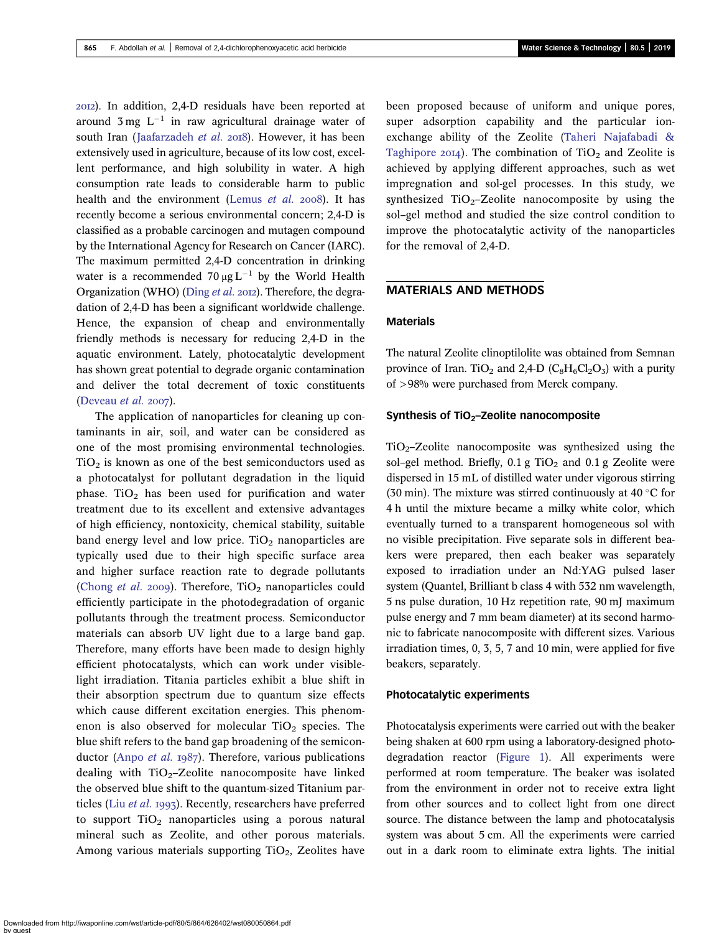). In addition, 2,4-D residuals have been reported at around  $3 \text{ mg } L^{-1}$  in raw agricultural drainage water of south Iran ([Jaafarzadeh](#page-9-0) et al. 2018). However, it has been extensively used in agriculture, because of its low cost, excellent performance, and high solubility in water. A high consumption rate leads to considerable harm to public health and the environment [\(Lemus](#page-9-0) et al. 2008). It has recently become a serious environmental concern; 2,4-D is classified as a probable carcinogen and mutagen compound by the International Agency for Research on Cancer (IARC). The maximum permitted 2,4-D concentration in drinking water is a recommended 70  $\mu$ g L<sup>-1</sup> by the World Health Organization (WHO) ([Ding](#page-9-0) et al. 2012). Therefore, the degradation of 2,4-D has been a significant worldwide challenge. Hence, the expansion of cheap and environmentally friendly methods is necessary for reducing 2,4-D in the aquatic environment. Lately, photocatalytic development has shown great potential to degrade organic contamination and deliver the total decrement of toxic constituents [\(Deveau](#page-9-0)  $et$   $al.$  2007).

The application of nanoparticles for cleaning up contaminants in air, soil, and water can be considered as one of the most promising environmental technologies.  $TiO<sub>2</sub>$  is known as one of the best semiconductors used as a photocatalyst for pollutant degradation in the liquid phase. TiO<sub>2</sub> has been used for purification and water treatment due to its excellent and extensive advantages of high efficiency, nontoxicity, chemical stability, suitable band energy level and low price. TiO<sub>2</sub> nanoparticles are typically used due to their high specific surface area and higher surface reaction rate to degrade pollutants [\(Chong](#page-9-0) et al. 2009). Therefore,  $TiO<sub>2</sub>$  nanoparticles could efficiently participate in the photodegradation of organic pollutants through the treatment process. Semiconductor materials can absorb UV light due to a large band gap. Therefore, many efforts have been made to design highly efficient photocatalysts, which can work under visiblelight irradiation. Titania particles exhibit a blue shift in their absorption spectrum due to quantum size effects which cause different excitation energies. This phenomenon is also observed for molecular  $TiO<sub>2</sub>$  species. The blue shift refers to the band gap broadening of the semicon-ductor ([Anpo](#page-9-0) et al.  $1987$ ). Therefore, various publications dealing with  $TiO<sub>2</sub>$ –Zeolite nanocomposite have linked the observed blue shift to the quantum-sized Titanium particles (Liu [et al.](#page-9-0) 1993). Recently, researchers have preferred to support  $TiO<sub>2</sub>$  nanoparticles using a porous natural mineral such as Zeolite, and other porous materials. Among various materials supporting  $TiO<sub>2</sub>$ , Zeolites have been proposed because of uniform and unique pores, super adsorption capability and the particular ionexchange ability of the Zeolite [\(Taheri Najafabadi &](#page-9-0) [Taghipore](#page-9-0) 2014). The combination of TiO<sub>2</sub> and Zeolite is achieved by applying different approaches, such as wet impregnation and sol-gel processes. In this study, we synthesized  $TiO<sub>2</sub>$ –Zeolite nanocomposite by using the sol–gel method and studied the size control condition to improve the photocatalytic activity of the nanoparticles for the removal of 2,4-D.

#### MATERIALS AND METHODS

### Materials

The natural Zeolite clinoptilolite was obtained from Semnan province of Iran. TiO<sub>2</sub> and 2,4-D ( $C_8H_6Cl_2O_3$ ) with a purity of >98% were purchased from Merck company.

#### Synthesis of  $TiO<sub>2</sub>-Zeolite$  nanocomposite

 $TiO<sub>2</sub>$ –Zeolite nanocomposite was synthesized using the sol–gel method. Briefly,  $0.1$  g TiO<sub>2</sub> and  $0.1$  g Zeolite were dispersed in 15 mL of distilled water under vigorous stirring (30 min). The mixture was stirred continuously at 40  $\degree$ C for 4 h until the mixture became a milky white color, which eventually turned to a transparent homogeneous sol with no visible precipitation. Five separate sols in different beakers were prepared, then each beaker was separately exposed to irradiation under an Nd:YAG pulsed laser system (Quantel, Brilliant b class 4 with 532 nm wavelength, 5 ns pulse duration, 10 Hz repetition rate, 90 mJ maximum pulse energy and 7 mm beam diameter) at its second harmonic to fabricate nanocomposite with different sizes. Various irradiation times, 0, 3, 5, 7 and 10 min, were applied for five beakers, separately.

#### Photocatalytic experiments

Photocatalysis experiments were carried out with the beaker being shaken at 600 rpm using a laboratory-designed photodegradation reactor ([Figure 1](#page-2-0)). All experiments were performed at room temperature. The beaker was isolated from the environment in order not to receive extra light from other sources and to collect light from one direct source. The distance between the lamp and photocatalysis system was about 5 cm. All the experiments were carried out in a dark room to eliminate extra lights. The initial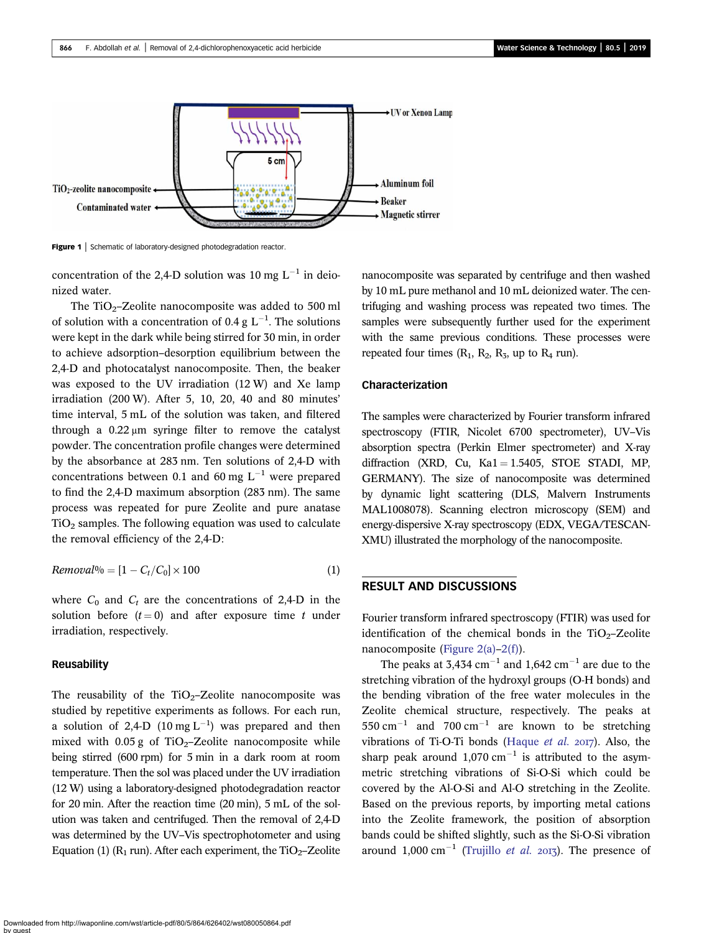<span id="page-2-0"></span>

Figure 1 | Schematic of laboratory-designed photodegradation reactor.

concentration of the 2,4-D solution was 10 mg  $L^{-1}$  in deionized water.

The TiO<sub>2</sub>–Zeolite nanocomposite was added to 500 ml of solution with a concentration of 0.4 g  $L^{-1}$ . The solutions were kept in the dark while being stirred for 30 min, in order to achieve adsorption–desorption equilibrium between the 2,4-D and photocatalyst nanocomposite. Then, the beaker was exposed to the UV irradiation (12 W) and Xe lamp irradiation (200 W). After 5, 10, 20, 40 and 80 minutes' time interval, 5 mL of the solution was taken, and filtered through a 0.22 μm syringe filter to remove the catalyst powder. The concentration profile changes were determined by the absorbance at 283 nm. Ten solutions of 2,4-D with concentrations between 0.1 and 60 mg  $L^{-1}$  were prepared to find the 2,4-D maximum absorption (283 nm). The same process was repeated for pure Zeolite and pure anatase  $TiO<sub>2</sub>$  samples. The following equation was used to calculate the removal efficiency of the 2,4-D:

$$
Removal\% = [1 - C_t/C_0] \times 100 \tag{1}
$$

where  $C_0$  and  $C_t$  are the concentrations of 2,4-D in the solution before  $(t = 0)$  and after exposure time t under irradiation, respectively.

#### Reusability

The reusability of the  $TiO<sub>2</sub>$ –Zeolite nanocomposite was studied by repetitive experiments as follows. For each run, a solution of 2,4-D (10 mg  $L^{-1}$ ) was prepared and then mixed with  $0.05 g$  of TiO<sub>2</sub>–Zeolite nanocomposite while being stirred (600 rpm) for 5 min in a dark room at room temperature. Then the sol was placed under the UV irradiation (12 W) using a laboratory-designed photodegradation reactor for 20 min. After the reaction time (20 min), 5 mL of the solution was taken and centrifuged. Then the removal of 2,4-D was determined by the UV–Vis spectrophotometer and using Equation (1) ( $R_1$  run). After each experiment, the TiO<sub>2</sub>–Zeolite nanocomposite was separated by centrifuge and then washed by 10 mL pure methanol and 10 mL deionized water. The centrifuging and washing process was repeated two times. The samples were subsequently further used for the experiment with the same previous conditions. These processes were repeated four times  $(R_1, R_2, R_3, \text{ up to } R_4 \text{ run}).$ 

#### Characterization

The samples were characterized by Fourier transform infrared spectroscopy (FTIR, Nicolet 6700 spectrometer), UV–Vis absorption spectra (Perkin Elmer spectrometer) and X-ray diffraction (XRD, Cu,  $Ka1 = 1.5405$ , STOE STADI, MP, GERMANY). The size of nanocomposite was determined by dynamic light scattering (DLS, Malvern Instruments MAL1008078). Scanning electron microscopy (SEM) and energy-dispersive X-ray spectroscopy (EDX, VEGA/TESCAN-XMU) illustrated the morphology of the nanocomposite.

## RESULT AND DISCUSSIONS

Fourier transform infrared spectroscopy (FTIR) was used for identification of the chemical bonds in the TiO<sub>2</sub>–Zeolite nanocomposite ([Figure 2\(a\)](#page-3-0)–[2\(f\)](#page-3-0)).

The peaks at 3,434 cm<sup>-1</sup> and 1,642 cm<sup>-1</sup> are due to the stretching vibration of the hydroxyl groups (O-H bonds) and the bending vibration of the free water molecules in the Zeolite chemical structure, respectively. The peaks at  $550 \text{ cm}^{-1}$  and  $700 \text{ cm}^{-1}$  are known to be stretching vibrations of Ti-O-Ti bonds ([Haque](#page-9-0)  $et$  al. 2017). Also, the sharp peak around 1,070 cm<sup>-1</sup> is attributed to the asymmetric stretching vibrations of Si-O-Si which could be covered by the Al-O-Si and Al-O stretching in the Zeolite. Based on the previous reports, by importing metal cations into the Zeolite framework, the position of absorption bands could be shifted slightly, such as the Si-O-Si vibration around 1,000 cm<sup>-1</sup> [\(Trujillo](#page-9-0) *et al.* 2013). The presence of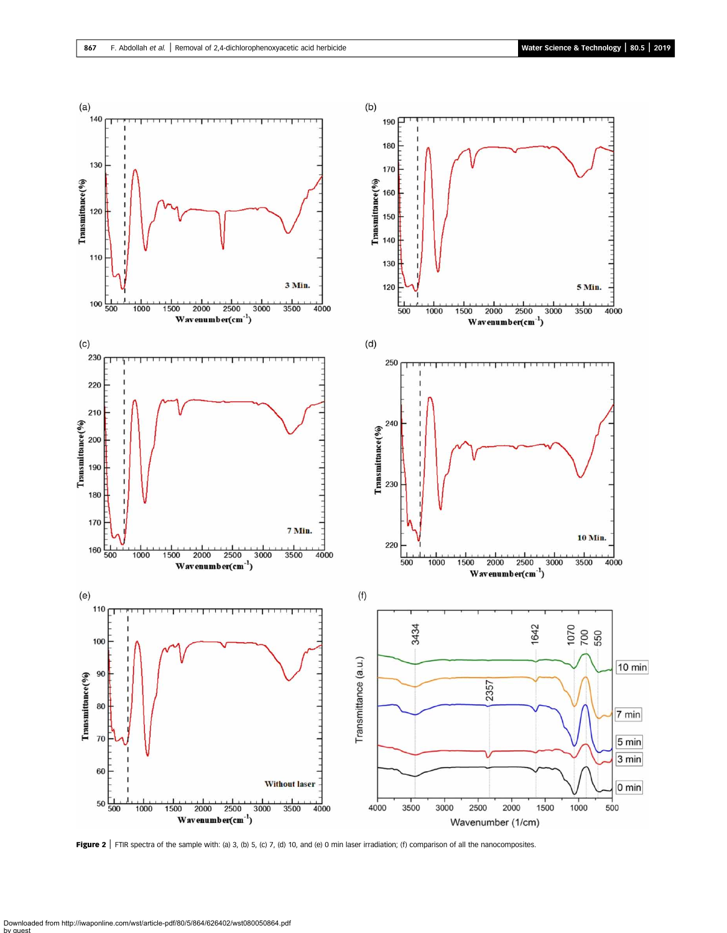<span id="page-3-0"></span>

Figure 2 | FTIR spectra of the sample with: (a) 3, (b) 5, (c) 7, (d) 10, and (e) 0 min laser irradiation; (f) comparison of all the nanocomposites.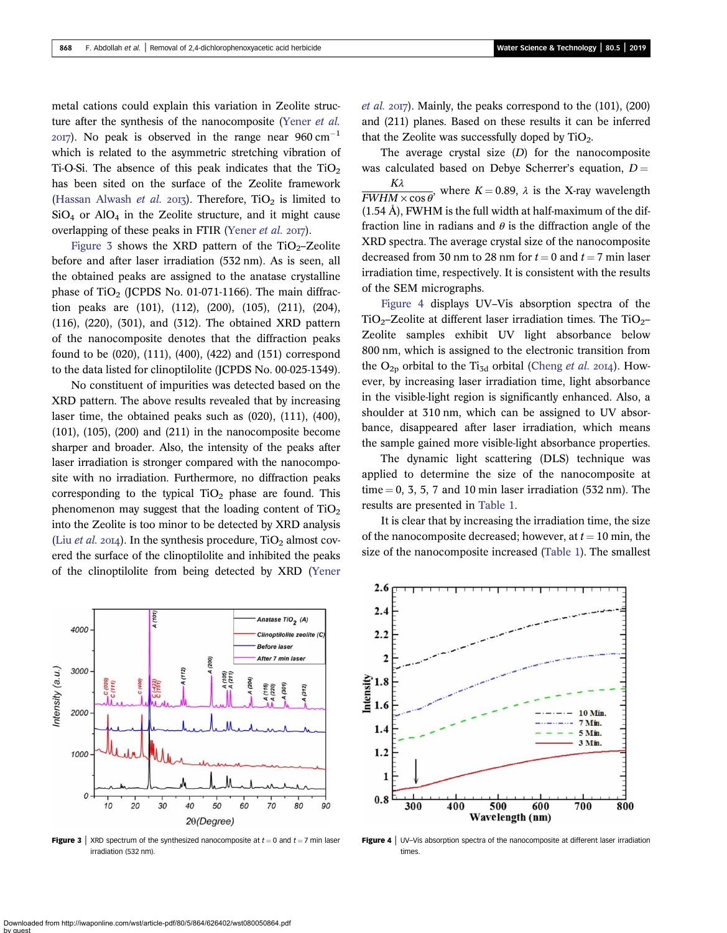metal cations could explain this variation in Zeolite struc-ture after the synthesis of the nanocomposite [\(Yener](#page-9-0) et al.  $2017$ ). No peak is observed in the range near 960 cm<sup>-1</sup> which is related to the asymmetric stretching vibration of Ti-O-Si. The absence of this peak indicates that the  $TiO<sub>2</sub>$ has been sited on the surface of the Zeolite framework [\(Hassan Alwash](#page-9-0) *et al.* 2013). Therefore,  $TiO<sub>2</sub>$  is limited to  $SiO<sub>4</sub>$  or  $AlO<sub>4</sub>$  in the Zeolite structure, and it might cause overlapping of these peaks in FTIR ([Yener](#page-9-0) et al. 2017).

Figure 3 shows the XRD pattern of the  $TiO<sub>2</sub>$ -Zeolite before and after laser irradiation (532 nm). As is seen, all the obtained peaks are assigned to the anatase crystalline phase of TiO<sub>2</sub> (JCPDS No. 01-071-1166). The main diffraction peaks are (101), (112), (200), (105), (211), (204), (116), (220), (301), and (312). The obtained XRD pattern of the nanocomposite denotes that the diffraction peaks found to be (020), (111), (400), (422) and (151) correspond to the data listed for clinoptilolite (JCPDS No. 00-025-1349).

No constituent of impurities was detected based on the XRD pattern. The above results revealed that by increasing laser time, the obtained peaks such as (020), (111), (400),  $(101)$ ,  $(105)$ ,  $(200)$  and  $(211)$  in the nanocomposite become sharper and broader. Also, the intensity of the peaks after laser irradiation is stronger compared with the nanocomposite with no irradiation. Furthermore, no diffraction peaks corresponding to the typical  $TiO<sub>2</sub>$  phase are found. This phenomenon may suggest that the loading content of  $TiO<sub>2</sub>$ into the Zeolite is too minor to be detected by XRD analysis (Liu *[et al.](#page-9-0)* 2014). In the synthesis procedure,  $TiO<sub>2</sub>$  almost covered the surface of the clinoptilolite and inhibited the peaks of the clinoptilolite from being detected by XRD ([Yener](#page-9-0)

A (101 Anatase TiO<sub>2</sub> (A) 4000 Clinoptilolite zeolite (0 **Before lase** After 7 min laser Intensity (a.u.) 3000 2000 1000 0 10 20 30 40 50 60 70 80 90  $2\theta(Degree)$ 

Figure 3 | XRD spectrum of the synthesized nanocomposite at  $t = 0$  and  $t = 7$  min laser irradiation (532 nm).

*[et al.](#page-9-0)* 2017). Mainly, the peaks correspond to the  $(101)$ ,  $(200)$ and (211) planes. Based on these results it can be inferred that the Zeolite was successfully doped by  $TiO<sub>2</sub>$ .

The average crystal size  $(D)$  for the nanocomposite was calculated based on Debye Scherrer's equation,  $D = K\lambda$ Kλ  $\frac{1}{FWHM \times \cos \theta}$ , where  $K = 0.89$ ,  $\lambda$  is the X-ray wavelength (1.54 Å), FWHM is the full width at half-maximum of the diffraction line in radians and  $\theta$  is the diffraction angle of the XRD spectra. The average crystal size of the nanocomposite decreased from 30 nm to 28 nm for  $t = 0$  and  $t = 7$  min laser irradiation time, respectively. It is consistent with the results of the SEM micrographs.

Figure 4 displays UV–Vis absorption spectra of the  $TiO<sub>2</sub>$ –Zeolite at different laser irradiation times. The TiO<sub>2</sub>– Zeolite samples exhibit UV light absorbance below 800 nm, which is assigned to the electronic transition from the  $O_{2p}$  orbital to the Ti<sub>3d</sub> orbital [\(Cheng](#page-9-0) *et al.* 2014). However, by increasing laser irradiation time, light absorbance in the visible-light region is significantly enhanced. Also, a shoulder at 310 nm, which can be assigned to UV absorbance, disappeared after laser irradiation, which means the sample gained more visible-light absorbance properties.

The dynamic light scattering (DLS) technique was applied to determine the size of the nanocomposite at time  $= 0, 3, 5, 7$  and 10 min laser irradiation (532 nm). The results are presented in [Table 1.](#page-5-0)

It is clear that by increasing the irradiation time, the size of the nanocomposite decreased; however, at  $t = 10$  min, the size of the nanocomposite increased ([Table 1\)](#page-5-0). The smallest

Figure 4 | UV-Vis absorption spectra of the nanocomposite at different laser irradiation times

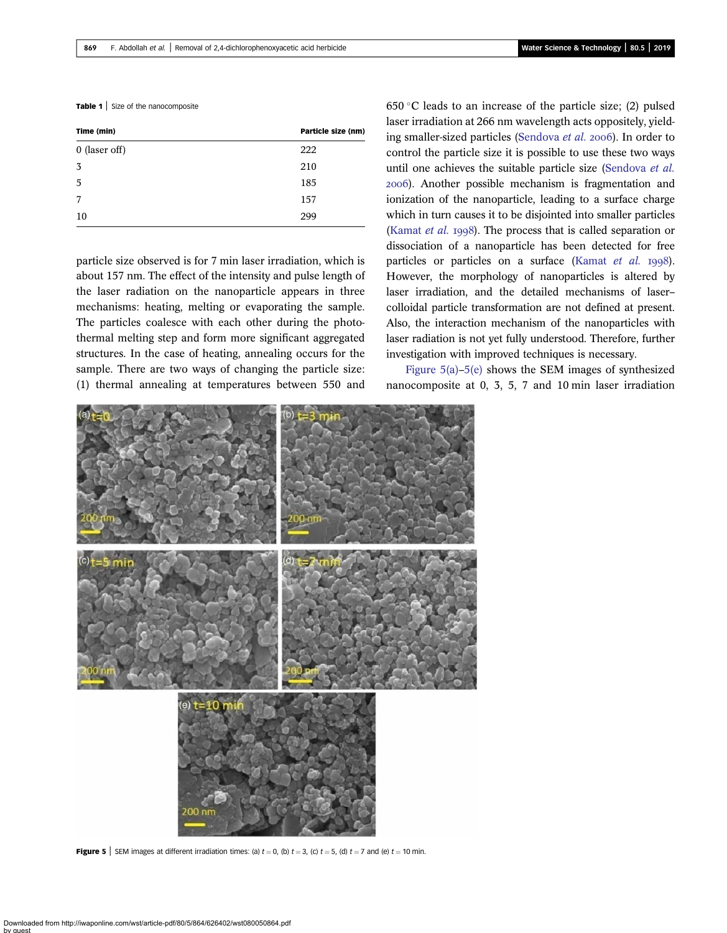<span id="page-5-0"></span>

|  |  | Table 1   Size of the nanocomposite |
|--|--|-------------------------------------|
|--|--|-------------------------------------|

| Time (min)      | Particle size (nm) |
|-----------------|--------------------|
| $0$ (laser off) | 222                |
| 3               | 210                |
| 5               | 185                |
| 7               | 157                |
| 10              | 299                |
|                 |                    |

particle size observed is for 7 min laser irradiation, which is about 157 nm. The effect of the intensity and pulse length of the laser radiation on the nanoparticle appears in three mechanisms: heating, melting or evaporating the sample. The particles coalesce with each other during the photothermal melting step and form more significant aggregated structures. In the case of heating, annealing occurs for the sample. There are two ways of changing the particle size: (1) thermal annealing at temperatures between 550 and 650 °C leads to an increase of the particle size; (2) pulsed laser irradiation at 266 nm wavelength acts oppositely, yield-ing smaller-sized particles ([Sendova](#page-9-0) et al. 2006). In order to control the particle size it is possible to use these two ways until one achieves the suitable particle size ([Sendova](#page-9-0) et al. ). Another possible mechanism is fragmentation and ionization of the nanoparticle, leading to a surface charge which in turn causes it to be disjointed into smaller particles [\(Kamat](#page-9-0) *et al.* 1998). The process that is called separation or dissociation of a nanoparticle has been detected for free particles or particles on a surface [\(Kamat](#page-9-0)  $et$   $al.$   $1998$ ). However, the morphology of nanoparticles is altered by laser irradiation, and the detailed mechanisms of laser– colloidal particle transformation are not defined at present. Also, the interaction mechanism of the nanoparticles with laser radiation is not yet fully understood. Therefore, further investigation with improved techniques is necessary.

Figure 5(a)–5(e) shows the SEM images of synthesized nanocomposite at 0, 3, 5, 7 and 10 min laser irradiation



Figure 5 | SEM images at different irradiation times: (a)  $t = 0$ , (b)  $t = 3$ , (c)  $t = 5$ , (d)  $t = 7$  and (e)  $t = 10$  min.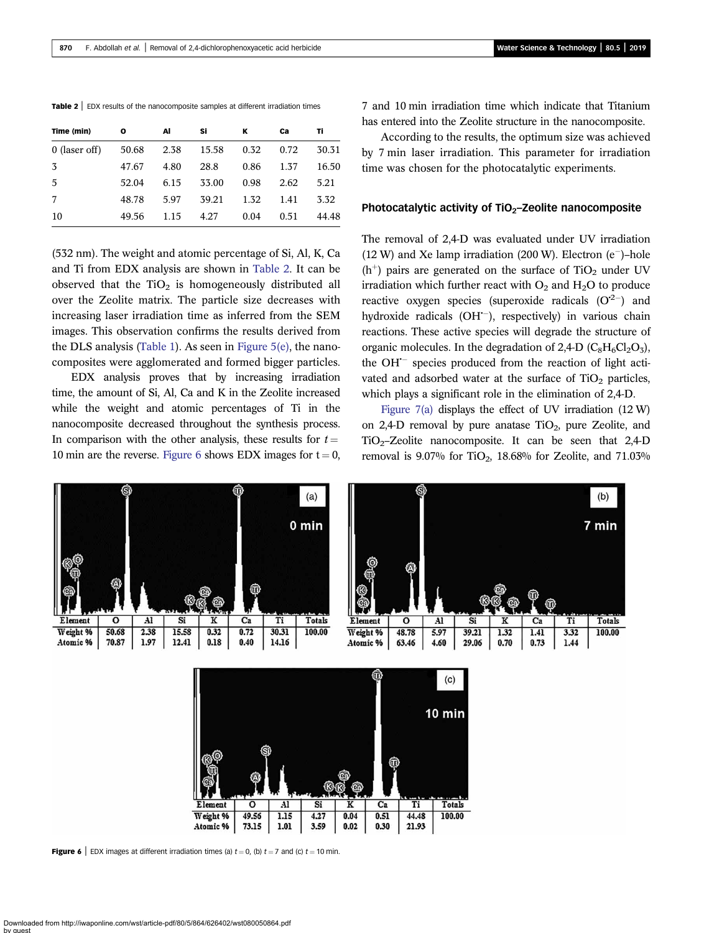|  |  |  | <b>Table 2</b> $\vert$ EDX results of the nanocomposite samples at different irradiation times |
|--|--|--|------------------------------------------------------------------------------------------------|
|--|--|--|------------------------------------------------------------------------------------------------|

| Time (min)    | o     | Al   | Si    | ĸ    | Ca   | Τi    |
|---------------|-------|------|-------|------|------|-------|
| 0 (laser off) | 50.68 | 2.38 | 15.58 | 0.32 | 0.72 | 30.31 |
| 3             | 47.67 | 4.80 | 28.8  | 0.86 | 1.37 | 16.50 |
| .5            | 52.04 | 6.15 | 33.00 | 0.98 | 2.62 | 5.21  |
| 7             | 48.78 | 5.97 | 39.21 | 1.32 | 1.41 | 3.32  |
| 10            | 49.56 | 1.15 | 4.27  | 0.04 | 0.51 | 44.48 |

(532 nm). The weight and atomic percentage of Si, Al, K, Ca and Ti from EDX analysis are shown in Table 2. It can be observed that the  $TiO<sub>2</sub>$  is homogeneously distributed all over the Zeolite matrix. The particle size decreases with increasing laser irradiation time as inferred from the SEM images. This observation confirms the results derived from the DLS analysis [\(Table 1](#page-5-0)). As seen in [Figure 5\(e\),](#page-5-0) the nanocomposites were agglomerated and formed bigger particles.

EDX analysis proves that by increasing irradiation time, the amount of Si, Al, Ca and K in the Zeolite increased while the weight and atomic percentages of Ti in the nanocomposite decreased throughout the synthesis process. In comparison with the other analysis, these results for  $t =$ 10 min are the reverse. Figure 6 shows EDX images for  $t = 0$ ,

7 and 10 min irradiation time which indicate that Titanium has entered into the Zeolite structure in the nanocomposite.

According to the results, the optimum size was achieved by 7 min laser irradiation. This parameter for irradiation time was chosen for the photocatalytic experiments.

#### Photocatalytic activity of  $TiO<sub>2</sub>$ –Zeolite nanocomposite

The removal of 2,4-D was evaluated under UV irradiation  $(12 W)$  and Xe lamp irradiation  $(200 W)$ . Electron  $(e^-)$ -hole (h<sup>+</sup>) pairs are generated on the surface of  $TiO<sub>2</sub>$  under UV irradiation which further react with  $O_2$  and  $H_2O$  to produce reactive oxygen species (superoxide radicals  $(O^{2-})$  and hydroxide radicals (OH<sup>--</sup>), respectively) in various chain reactions. These active species will degrade the structure of organic molecules. In the degradation of 2,4-D  $(C_8H_6Cl_2O_3)$ , the  $OH^-$  species produced from the reaction of light activated and adsorbed water at the surface of  $TiO<sub>2</sub>$  particles, which plays a significant role in the elimination of 2,4-D.

Figure  $7(a)$  displays the effect of UV irradiation (12 W) on 2,4-D removal by pure anatase  $TiO<sub>2</sub>$ , pure Zeolite, and  $TiO<sub>2</sub>$ -Zeolite nanocomposite. It can be seen that 2,4-D removal is 9.07% for TiO<sub>2</sub>, 18.68% for Zeolite, and 71.03%





**Figure 6** | EDX images at different irradiation times (a)  $t = 0$ , (b)  $t = 7$  and (c)  $t = 10$  min.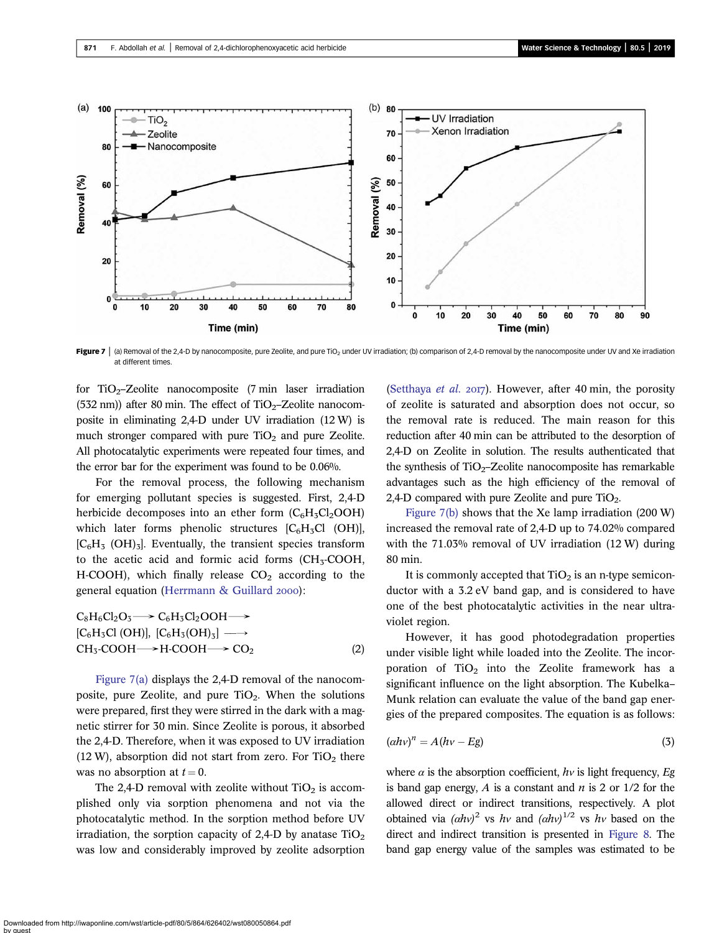<span id="page-7-0"></span>

Figure 7 | (a) Removal of the 2,4-D by nanocomposite, pure Zeolite, and pure TiO<sub>2</sub> under UV irradiation; (b) comparison of 2,4-D removal by the nanocomposite under UV and Xe irradiation at different times.

for TiO<sub>2</sub>-Zeolite nanocomposite (7 min laser irradiation (532 nm)) after 80 min. The effect of  $TiO<sub>2</sub>$ -Zeolite nanocomposite in eliminating 2,4-D under UV irradiation (12 W) is much stronger compared with pure  $TiO<sub>2</sub>$  and pure Zeolite. All photocatalytic experiments were repeated four times, and the error bar for the experiment was found to be 0.06%.

For the removal process, the following mechanism for emerging pollutant species is suggested. First, 2,4-D herbicide decomposes into an ether form  $(C_6H_3Cl_2OOH)$ which later forms phenolic structures  $[C<sub>6</sub>H<sub>3</sub>Cl (OH)]$ ,  $[C_6H_5 (OH)_3]$ . Eventually, the transient species transform to the acetic acid and formic acid forms  $(CH<sub>3</sub>-COOH,$ H-COOH), which finally release  $CO<sub>2</sub>$  according to the general equation ([Herrmann & Guillard](#page-9-0) 2000):

$$
C_8H_6Cl_2O_3 \longrightarrow C_6H_3Cl_2OOH \longrightarrow
$$
  
\n
$$
[C_6H_3Cl (OH)], [C_6H_3(OH)_3] \longrightarrow
$$
  
\n
$$
CH_3\text{-}COOH \longrightarrow H\text{-}COOH \longrightarrow CO_2
$$
  
\n(2)

Figure 7(a) displays the 2,4-D removal of the nanocomposite, pure Zeolite, and pure  $TiO<sub>2</sub>$ . When the solutions were prepared, first they were stirred in the dark with a magnetic stirrer for 30 min. Since Zeolite is porous, it absorbed the 2,4-D. Therefore, when it was exposed to UV irradiation  $(12 W)$ , absorption did not start from zero. For TiO<sub>2</sub> there was no absorption at  $t = 0$ .

The 2,4-D removal with zeolite without  $TiO<sub>2</sub>$  is accomplished only via sorption phenomena and not via the photocatalytic method. In the sorption method before UV irradiation, the sorption capacity of 2,4-D by anatase  $TiO<sub>2</sub>$ was low and considerably improved by zeolite adsorption

[\(Setthaya](#page-9-0) *et al.* 2017). However, after 40 min, the porosity of zeolite is saturated and absorption does not occur, so the removal rate is reduced. The main reason for this reduction after 40 min can be attributed to the desorption of 2,4-D on Zeolite in solution. The results authenticated that the synthesis of  $TiO<sub>2</sub>$ –Zeolite nanocomposite has remarkable advantages such as the high efficiency of the removal of 2,4-D compared with pure Zeolite and pure  $TiO<sub>2</sub>$ .

Figure 7(b) shows that the Xe lamp irradiation (200 W) increased the removal rate of 2,4-D up to 74.02% compared with the 71.03% removal of UV irradiation (12 W) during 80 min.

It is commonly accepted that  $TiO<sub>2</sub>$  is an n-type semiconductor with a 3.2 eV band gap, and is considered to have one of the best photocatalytic activities in the near ultraviolet region.

However, it has good photodegradation properties under visible light while loaded into the Zeolite. The incorporation of  $TiO<sub>2</sub>$  into the Zeolite framework has a significant influence on the light absorption. The Kubelka– Munk relation can evaluate the value of the band gap energies of the prepared composites. The equation is as follows:

$$
(\alpha h v)^n = A(hv - Eg) \tag{3}
$$

where  $\alpha$  is the absorption coefficient,  $h\nu$  is light frequency, Eg is band gap energy,  $A$  is a constant and  $n$  is 2 or 1/2 for the allowed direct or indirect transitions, respectively. A plot obtained via  $(ahv)^2$  vs hv and  $(ahv)^{1/2}$  vs hv based on the direct and indirect transition is presented in [Figure 8](#page-8-0). The band gap energy value of the samples was estimated to be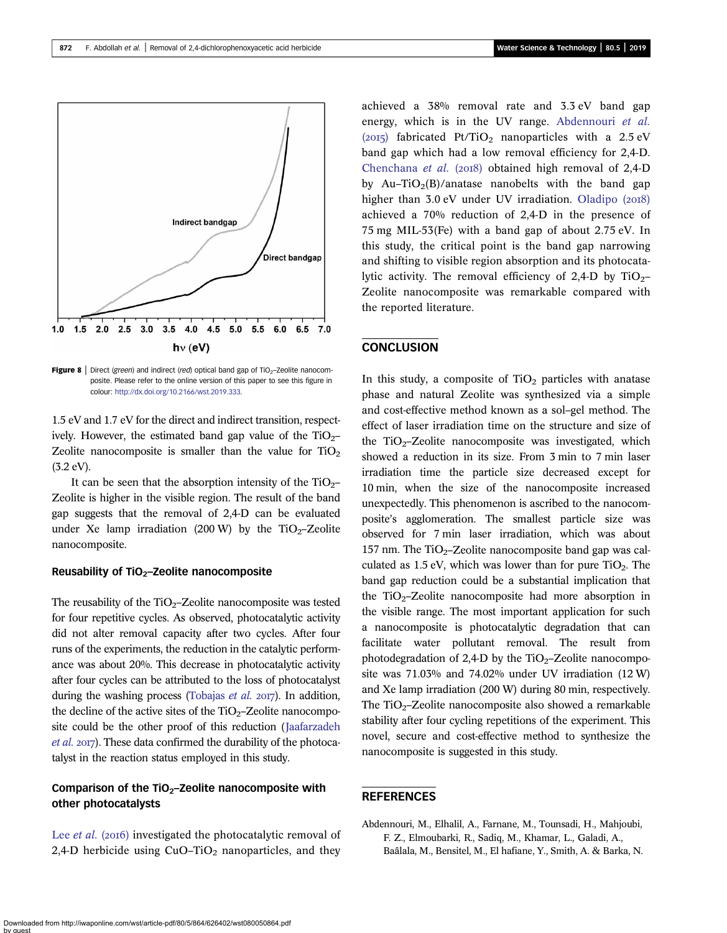<span id="page-8-0"></span>

Figure 8 | Direct (green) and indirect (red) optical band gap of TiO<sub>2</sub>-Zeolite nanocomposite. Please refer to the online version of this paper to see this figure in colour: [http://dx.doi.org/10.2166/wst.2019.333.](http://dx.doi.org/10.2166/wst.2019.333)

1.5 eV and 1.7 eV for the direct and indirect transition, respectively. However, the estimated band gap value of the  $TiO<sub>2</sub>$ -Zeolite nanocomposite is smaller than the value for  $TiO<sub>2</sub>$ (3.2 eV).

It can be seen that the absorption intensity of the  $TiO<sub>2</sub>$ – Zeolite is higher in the visible region. The result of the band gap suggests that the removal of 2,4-D can be evaluated under Xe lamp irradiation (200 W) by the  $TiO<sub>2</sub>$ -Zeolite nanocomposite.

#### Reusability of  $TiO<sub>2</sub>$ –Zeolite nanocomposite

The reusability of the  $TiO<sub>2</sub>$ –Zeolite nanocomposite was tested for four repetitive cycles. As observed, photocatalytic activity did not alter removal capacity after two cycles. After four runs of the experiments, the reduction in the catalytic performance was about 20%. This decrease in photocatalytic activity after four cycles can be attributed to the loss of photocatalyst during the washing process ([Tobajas](#page-9-0) et al.  $2017$ ). In addition, the decline of the active sites of the  $TiO<sub>2</sub>$ –Zeolite nanocomposite could be the other proof of this reduction ([Jaafarzadeh](#page-9-0)  $et$  al. 2017). These data confirmed the durability of the photocatalyst in the reaction status employed in this study.

# Comparison of the  $TiO<sub>2</sub>$ –Zeolite nanocomposite with other photocatalysts

Lee *[et al.](#page-9-0)* (2016) investigated the photocatalytic removal of 2,4-D herbicide using  $CuO-TiO<sub>2</sub>$  nanoparticles, and they

achieved a 38% removal rate and 3.3 eV band gap energy, which is in the UV range. Abdennouri et al. (2015) fabricated Pt/TiO<sub>2</sub> nanoparticles with a 2.5 eV band gap which had a low removal efficiency for 2,4-D. [Chenchana](#page-9-0) et al. (2018) obtained high removal of  $2,4-D$ by Au–TiO<sub>2</sub>(B)/anatase nanobelts with the band gap higher than  $3.0 \text{ eV}$  under UV irradiation. [Oladipo \(](#page-9-0)2018) achieved a 70% reduction of 2,4-D in the presence of 75 mg MIL-53(Fe) with a band gap of about 2.75 eV. In this study, the critical point is the band gap narrowing and shifting to visible region absorption and its photocatalytic activity. The removal efficiency of 2,4-D by  $TiO<sub>2</sub>$ – Zeolite nanocomposite was remarkable compared with the reported literature.

## **CONCLUSION**

In this study, a composite of  $TiO<sub>2</sub>$  particles with anatase phase and natural Zeolite was synthesized via a simple and cost-effective method known as a sol–gel method. The effect of laser irradiation time on the structure and size of the  $TiO<sub>2</sub>-Zeolite nanocomposite$  was investigated, which showed a reduction in its size. From 3 min to 7 min laser irradiation time the particle size decreased except for 10 min, when the size of the nanocomposite increased unexpectedly. This phenomenon is ascribed to the nanocomposite's agglomeration. The smallest particle size was observed for 7 min laser irradiation, which was about 157 nm. The TiO<sub>2</sub>–Zeolite nanocomposite band gap was calculated as  $1.5$  eV, which was lower than for pure TiO<sub>2</sub>. The band gap reduction could be a substantial implication that the  $TiO<sub>2</sub>$ -Zeolite nanocomposite had more absorption in the visible range. The most important application for such a nanocomposite is photocatalytic degradation that can facilitate water pollutant removal. The result from photodegradation of 2,4-D by the  $TiO<sub>2</sub>$ –Zeolite nanocomposite was 71.03% and 74.02% under UV irradiation (12 W) and Xe lamp irradiation (200 W) during 80 min, respectively. The TiO<sub>2</sub>–Zeolite nanocomposite also showed a remarkable stability after four cycling repetitions of the experiment. This novel, secure and cost-effective method to synthesize the nanocomposite is suggested in this study.

## **REFERENCES**

Abdennouri, M., Elhalil, A., Farnane, M., Tounsadi, H., Mahjoubi, F. Z., Elmoubarki, R., Sadiq, M., Khamar, L., Galadi, A., Baâlala, M., Bensitel, M., El hafiane, Y., Smith, A. & Barka, N.